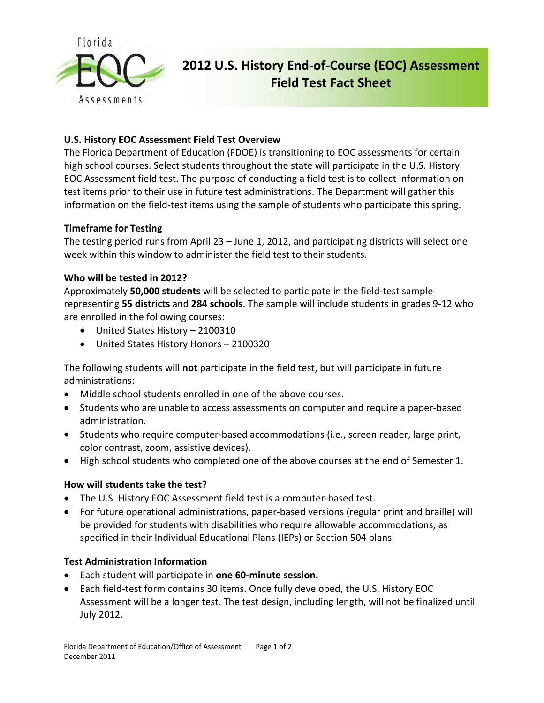

# **2012 U.S. History End-of-Course (EOC) Assessment Field Test Fact Sheet**

# **U.S. History EOC Assessment Field Test Overview**

The Florida Department of Education (FDOE) is transitioning to EOC assessments for certain high school courses. Select students throughout the state will participate in the U.S. History EOC Assessment field test. The purpose of conducting a field test is to collect information on test items prior to their use in future test administrations. The Department will gather this information on the field-test items using the sample of students who participate this spring.

# **Timeframe for Testing**

The testing period runs from April 23 – June 1, 2012, and participating districts will select one week within this window to administer the field test to their students.

# **Who will be tested in 2012?**

Approximately **50,000 students** will be selected to participate in the field-test sample representing **55 districts** and **284 schools**. The sample will include students in grades 9-12 who are enrolled in the following courses:

- United States History 2100310
- United States History Honors 2100320

The following students will **not** participate in the field test, but will participate in future administrations:

- Middle school students enrolled in one of the above courses.
- Students who are unable to access assessments on computer and require a paper-based administration.
- Students who require computer-based accommodations (i.e., screen reader, large print, color contrast, zoom, assistive devices).
- High school students who completed one of the above courses at the end of Semester 1.

#### **How will students take the test?**

- The U.S. History EOC Assessment field test is a computer-based test.
- For future operational administrations, paper-based versions (regular print and braille) will be provided for students with disabilities who require allowable accommodations, as specified in their Individual Educational Plans (IEPs) or Section 504 plans.

#### **Test Administration Information**

- Each student will participate in **one 60-minute session.**
- Each field-test form contains 30 items. Once fully developed, the U.S. History EOC Assessment will be a longer test. The test design, including length, will not be finalized until July 2012.